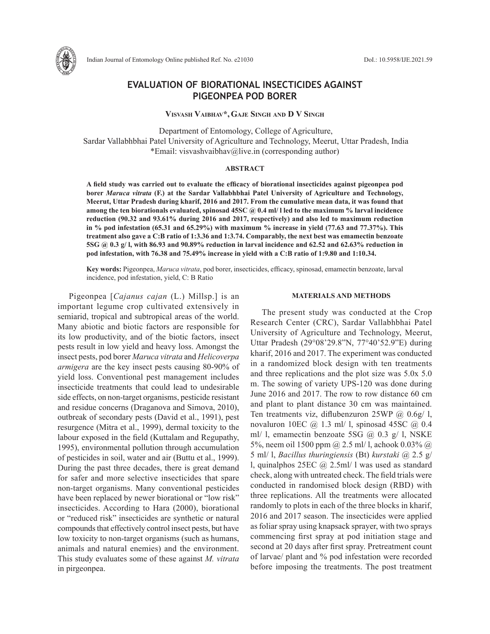

Indian Journal of Entomology Online published Ref. No. e21030 DoI.: 10.5958/IJE.2021.59

# **EVALUATION OF BIORATIONAL INSECTICIDES AGAINST PIGEONPEA POD BORER**

**Visvash Vaibhav\*,Gaje Singh and D V Singh**

 Department of Entomology, College of Agriculture, Sardar Vallabhbhai Patel University of Agriculture and Technology, Meerut, Uttar Pradesh, India \*Email: visvashvaibhav@live.in (corresponding author)

### **ABSTRACT**

**A field study was carried out to evaluate the efficacy of biorational insecticides against pigeonpea pod borer** *Maruca vitrata* **(F.) at the Sardar Vallabhbhai Patel University of Agriculture and Technology, Meerut, Uttar Pradesh during kharif, 2016 and 2017. From the cumulative mean data, it was found that among the ten biorationals evaluated, spinosad 45SC @ 0.4 ml/ l led to the maximum % larval incidence reduction (90.32 and 93.61% during 2016 and 2017, respectively) and also led to maximum reduction in % pod infestation (65.31 and 65.29%) with maximum % increase in yield (77.63 and 77.37%). This treatment also gave a C:B ratio of 1:3.36 and 1:3.74. Comparably, the next best was emamectin benzoate 5SG @ 0.3 g/ l, with 86.93 and 90.89% reduction in larval incidence and 62.52 and 62.63% reduction in pod infestation, with 76.38 and 75.49% increase in yield with a C:B ratio of 1:9.80 and 1:10.34.** 

**Key words:** Pigeonpea, *Maruca vitrata*, pod borer, insecticides, efficacy, spinosad, emamectin benzoate, larval incidence, pod infestation, yield, C: B Ratio

Pigeonpea [*Cajanus cajan* (L.) Millsp.] is an important legume crop cultivated extensively in semiarid, tropical and subtropical areas of the world. Many abiotic and biotic factors are responsible for its low productivity, and of the biotic factors, insect pests result in low yield and heavy loss. Amongst the insect pests, pod borer *Maruca vitrata* and *Helicoverpa armigera* are the key insect pests causing 80-90% of yield loss. Conventional pest management includes insecticide treatments that could lead to undesirable side effects, on non-target organisms, pesticide resistant and residue concerns (Draganova and Simova, 2010), outbreak of secondary pests (David et al., 1991), pest resurgence (Mitra et al., 1999), dermal toxicity to the labour exposed in the field (Kuttalam and Regupathy, 1995), environmental pollution through accumulation of pesticides in soil, water and air (Buttu et al., 1999). During the past three decades, there is great demand for safer and more selective insecticides that spare non-target organisms. Many conventional pesticides have been replaced by newer biorational or "low risk" insecticides. According to Hara (2000), biorational or "reduced risk" insecticides are synthetic or natural compounds that effectively control insect pests, but have low toxicity to non-target organisms (such as humans, animals and natural enemies) and the environment. This study evaluates some of these against *M. vitrata* in pirgeonpea.

### **MATERIALS AND METHODS**

The present study was conducted at the Crop Research Center (CRC), Sardar Vallabhbhai Patel University of Agriculture and Technology, Meerut, Uttar Pradesh (29°08'29.8"N, 77°40'52.9"E) during kharif, 2016 and 2017. The experiment was conducted in a randomized block design with ten treatments and three replications and the plot size was 5.0x 5.0 m. The sowing of variety UPS-120 was done during June 2016 and 2017. The row to row distance 60 cm and plant to plant distance 30 cm was maintained. Ten treatments viz, diflubenzuron  $25WP$  @  $0.6g/1$ , novaluron 10EC  $\omega$  1.3 ml/ l, spinosad 45SC  $\omega$  0.4 ml/ 1, emamectin benzoate 5SG  $(a)$  0.3 g/ 1, NSKE 5%, neem oil 1500 ppm @ 2.5 ml/ l, achook 0.03% @ 5 ml/ l, *Bacillus thuringiensis* (Bt) *kurstaki* @ 2.5 g/ l, quinalphos 25EC @ 2.5ml/ l was used as standard check, along with untreated check. The field trials were conducted in randomised block design (RBD) with three replications. All the treatments were allocated randomly to plots in each of the three blocks in kharif, 2016 and 2017 season. The insecticides were applied as foliar spray using knapsack sprayer, with two sprays commencing first spray at pod initiation stage and second at 20 days after first spray. Pretreatment count of larvae/ plant and % pod infestation were recorded before imposing the treatments. The post treatment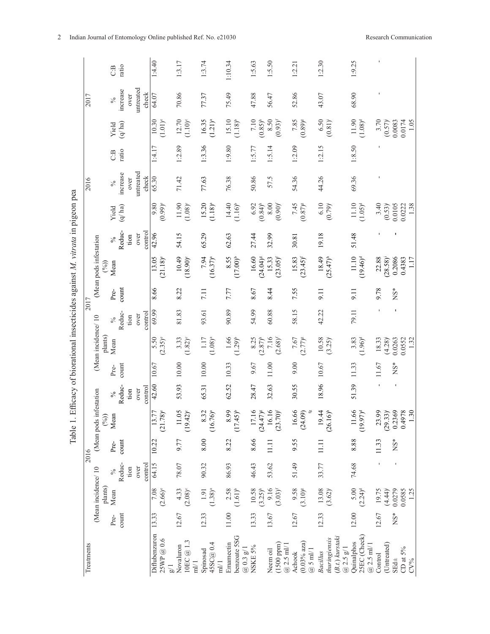|                                                                                |            |                        |         | C.B                            | ratio                                  |      |                    | 1:4.40                |                           | 1:3.17     |                                             | 1:3.74                         |                  | 1:10.34                       |                         | 1:5.63       |                        | 1:5.50                          |                               | 1:2.21              |                              | 1:2.30                         |               |                            | 1:9.25     |                                 |              |         |               |                                |                            |
|--------------------------------------------------------------------------------|------------|------------------------|---------|--------------------------------|----------------------------------------|------|--------------------|-----------------------|---------------------------|------------|---------------------------------------------|--------------------------------|------------------|-------------------------------|-------------------------|--------------|------------------------|---------------------------------|-------------------------------|---------------------|------------------------------|--------------------------------|---------------|----------------------------|------------|---------------------------------|--------------|---------|---------------|--------------------------------|----------------------------|
| Table 1. Efficacy of biorational insecticides against M. vitrata in pigeon pea | 2017       |                        |         | $\%$                           | untreated<br>increase<br>check<br>over |      | 64.07              |                       | 70.86                     |            | 77.37                                       |                                | 75.49            |                               | 47.88                   |              | 56.47                  |                                 | 52.86                         |                     | 43.07                        |                                |               | 68.90                      |            |                                 |              |         |               |                                |                            |
|                                                                                |            |                        |         | $\left( q\right)$ ha)<br>Yield |                                        |      | 10.30              | $(1.01)$ <sup>e</sup> | 12.70                     | $(1.10)^e$ | 16.35                                       | $(1.21)^{a}$                   | 15.10            | $(1.18)^{b}$                  | $7.10$                  | $(0.85)^{h}$ | 8.50                   | $(0.93)^f$                      | 7.85                          | $(0.89)^\mathrm{g}$ | 6.50                         | $(0.81)$ <sup>i</sup>          |               | 11.90                      | $(1.08)^d$ |                                 | 3.70         | (0.57)  | 0.0083        | 1.05<br>0.0174                 |                            |
|                                                                                |            |                        |         | C:B                            | ratio                                  |      |                    | 1:4.17                |                           | 1:2.89     |                                             | 1:3.36                         |                  | 1.9.80                        |                         | 1:5.77       |                        | 1:5.14                          |                               | 1:2.09              |                              | 1:2.15                         |               |                            | 1:8.50     |                                 |              |         |               |                                |                            |
|                                                                                | 2016       |                        |         | $\%$                           | increase                               | over | untreated<br>check | 65.30                 |                           | 71.42      |                                             | 77.63                          |                  | 76.38                         |                         | 50.86        |                        | 57.5                            |                               | 54.36               |                              | 44.26                          |               |                            | 69.36      |                                 |              |         |               |                                |                            |
|                                                                                |            |                        |         | Yield                          | (q/ha)                                 |      |                    | 9.80                  | $(0.99)^{e}$              | 11.90      | $(1.08)^c$                                  | 15.20                          | $(1.18)^{a}$     | 14.40                         | $(1.16)^{b}$            | 6.92         | $(0.84)$ <sup>h</sup>  | $\phantom{00}8.00$              | $(0.90)^f$                    | 7.45                | $(0.87)$ $\,$                | 6.10                           | $(0.79)^i$    |                            | 11.10      | $(1.05)^d$                      |              | 3.40    | (0.53)        | 0.0105                         | 1.38<br>0.0222             |
|                                                                                |            |                        |         | $\delta_0$                     | Reduc-                                 | tion | control<br>over    | 42.96                 |                           | 54.15      |                                             | 65.29                          |                  | 62.63                         |                         | 27.44        |                        | 32.99                           |                               | 30.81               |                              | 19.18                          |               |                            | 51.48      |                                 |              |         |               |                                |                            |
|                                                                                |            | (Mean pods infestation | $(\%)$  | Mean                           |                                        |      |                    | 13.05                 | (21.18)°                  | 10.49      | $(18.90)^c$                                 | 7.94                           | $(16.37)^a$      | 8.55                          | $(17.00)^{b}$           | 16.60        | $(24.04)$ <sup>g</sup> | 15.33                           | $(23.05)^{f}$                 | 15.83               | $(23.45)^{f}$                | 18.49                          | $(25.47)^{h}$ |                            | 11.10      | $(19.46)^d$                     |              | 22.88   | $(28.58)^{i}$ | 0.2086                         | 0.4383<br>1.17             |
|                                                                                | 2017       |                        |         | Pre-                           | count                                  |      |                    | 8.66                  |                           | 8.22       |                                             | 7.11                           |                  | 7.77                          |                         | 8.67         |                        | 8.44                            |                               | 7.55                |                              | $\overline{5}$                 |               |                            | 9.11       |                                 |              | 9.78    |               | <b>NS*</b>                     |                            |
|                                                                                |            |                        |         | $\%$                           | Reduc-                                 | tion | control<br>over    | 69.99                 |                           | 81.83      |                                             | 93.61                          |                  | 90.89                         |                         | 54.99        |                        | 60.88                           |                               | 58.15               |                              | 42.22                          |               |                            | 79.11      |                                 |              |         |               |                                |                            |
|                                                                                |            | (Mean incidence/10     | plants) | Mean                           |                                        |      |                    | 5.50                  | $(2.35)^{e}$              | 3.33       | $(1.82)^{c}$                                | $1.17$                         | $(1.08)^{a}$     | 1.66                          | $(1.29)^{b}$            | 8.25         | $(2.87)^{h}$           | 7.16                            | $(2.68)^f$                    | 7.67                | $(2.77)^{s}$                 | $10.58$<br>(3.25) <sup>i</sup> |               |                            | 3.83       | $(1.96)^d$                      |              | 18.33   | (4.28)        | 0.0263                         | 0.0552<br>1.32             |
|                                                                                |            |                        |         | Pre-                           | count                                  |      |                    | 10.67                 |                           | $10.00$    |                                             | $10.00$                        |                  | 10.33                         |                         | 9.67         |                        | 11.00                           |                               | 9.00                |                              | 10.67                          |               |                            | 11.33      |                                 |              | 11.67   |               | $NS*$                          |                            |
|                                                                                |            | festation              |         | $\%$                           | Reduc-                                 | tion | control<br>over    | 42.60                 |                           | 53.93      |                                             | 65.31                          |                  | 62.52                         |                         | 28.47        |                        | 32.63                           |                               | 30.55               |                              | 18.96                          |               |                            | 51.39      |                                 |              |         |               |                                |                            |
|                                                                                |            | (Mean pods in          | (96)    | Mean                           |                                        |      |                    | $13.7^{\circ}$        | (21.78)                   | $11.05$    | $\approx$<br>(19.42)                        | $8.32$<br>(16.76) <sup>a</sup> |                  | $668$<br>(17.45) <sup>b</sup> |                         | 17.16        | $(24.47)^{s}$          | $16.16$<br>(23.70) <sup>r</sup> |                               | 16.66               | (24.09)                      | 19.44                          | $(26.16)^{h}$ |                            |            | $11.66$<br>(19.97) <sup>d</sup> |              | 23.99   | $(29.33)^{i}$ | 0.2369                         | 0.4978<br>1.3 <sub>0</sub> |
|                                                                                | 2016       |                        |         | Pre-                           | count                                  |      |                    | 10.22                 |                           | 9.77       |                                             | 8.00                           |                  | 8.22                          |                         | 8.66         |                        | 11.11                           |                               | 9.55                |                              | 11.11                          |               |                            | 8.88       |                                 |              | 11.33   |               | $\overset{*}{\mathrm{NS}}{}^*$ |                            |
|                                                                                |            |                        |         | $\%$                           | Reduc-                                 | tion | control<br>over    | 64.15                 |                           | 78.07      |                                             | 90.32                          |                  | 86.93                         |                         | 46.43        |                        | 53.62                           |                               | 51.49               |                              | 33.77                          |               |                            | 74.68      |                                 |              |         |               |                                |                            |
|                                                                                |            | (Mean incidence/10     | plants) | Mean                           |                                        |      |                    | $7.08\,$              | $(2.66)^{\circ}$          | 4.33       | $(2.08)^c$                                  | 1.91                           | $(1.38)^a$       | 2.58                          | $(1.61)^{b}$            | 10.58        | $(3.25)^{h}$           | 9.16                            | $(3.03)^{f}$                  | 9.58                | $(3.10)^\mathrm{g}$          | 13.08                          | $(3.62)^{i}$  |                            | 5.00       | $(2.24)^d$                      |              | 19.75   | (4.44)        | 0.0279                         | 0.0585<br>1.25             |
|                                                                                |            |                        |         | Pre-                           | count                                  |      |                    | 13.33                 |                           | 12.67      |                                             | 12.33                          |                  | $11.00$                       |                         | 13.33        |                        | 13.67                           |                               | 12.67               |                              | 12.33                          |               |                            | 12.00      |                                 |              | 12.67   |               | $NS*$                          |                            |
|                                                                                | Treatments |                        |         |                                |                                        |      |                    | Diflubenzuron         | 25WP@0.6<br>$\frac{1}{8}$ | Novaluron  | $10 \mathrm{EC} \ @ \ 1.3$<br>$\frac{m}{l}$ | Spinosad                       | 45SC@0.4<br>ml/1 | Emamectin                     | benzoate 5SG<br>@0.3g/1 | NSKE 5%      |                        | Neem oil                        | $(1500$ ppm $)$<br>$@2.5$ ml/ | Achook              | $(0.03%$ aza)<br>$@$ 5 ml/ l | Bacillus                       | thuringiensis | (B.t.) kurstaki<br>@2.5g/1 | Quinalphos | 25EC (Check)                    | $@2.5$ ml/ 1 | Control | (Untreated)   | SE <sub>d±</sub>               | CD at $5\%$<br>$CV\%$      |